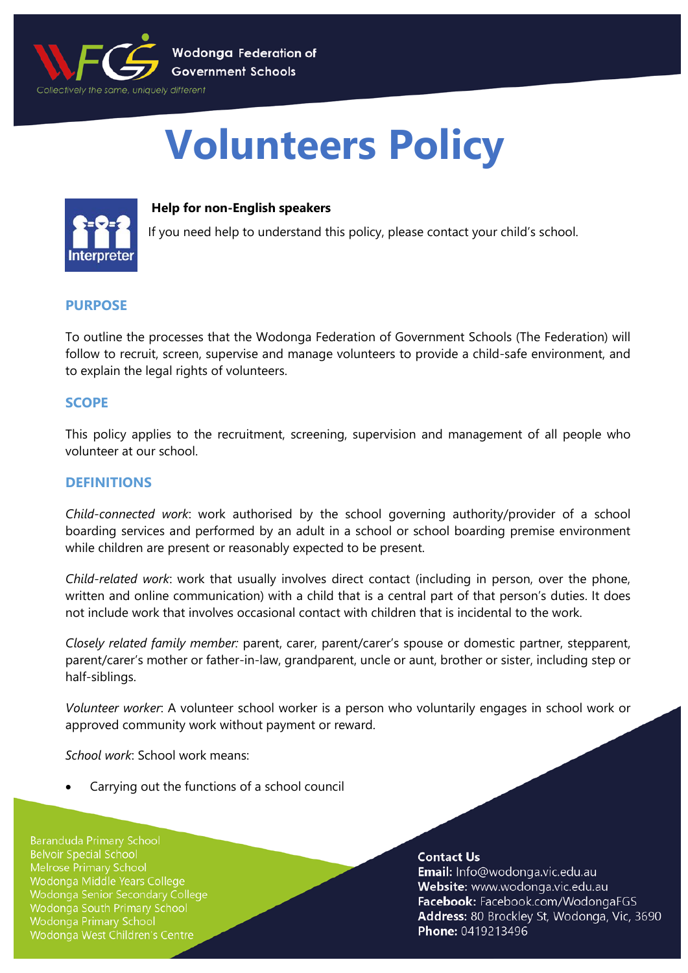

# **Volunteers Policy**



#### **Help for non-English speakers**

If you need help to understand this policy, please contact your child's school.

## **PURPOSE**

To outline the processes that the Wodonga Federation of Government Schools (The Federation) will follow to recruit, screen, supervise and manage volunteers to provide a child-safe environment, and to explain the legal rights of volunteers.

# **SCOPE**

This policy applies to the recruitment, screening, supervision and management of all people who volunteer at our school.

## **DEFINITIONS**

*Child-connected work*: work authorised by the school governing authority/provider of a school boarding services and performed by an adult in a school or school boarding premise environment while children are present or reasonably expected to be present.

*Child-related work*: work that usually involves direct contact (including in person, over the phone, written and online communication) with a child that is a central part of that person's duties. It does not include work that involves occasional contact with children that is incidental to the work.

*Closely related family member:* parent, carer, parent/carer's spouse or domestic partner, stepparent, parent/carer's mother or father-in-law, grandparent, uncle or aunt, brother or sister, including step or half-siblings.

*Volunteer worker*: A volunteer school worker is a person who voluntarily engages in school work or approved community work without payment or reward.

*School work*: School work means:

• Carrying out the functions of a school council

**Baranduda Primary School Belvoir Special School** Melrose Primary School Wodonga Middle Years College Wodonga Senior Secondary College **Wodonga South Primary School Wodonga Primary School** Wodonga West Children's Centre

#### **Contact Us**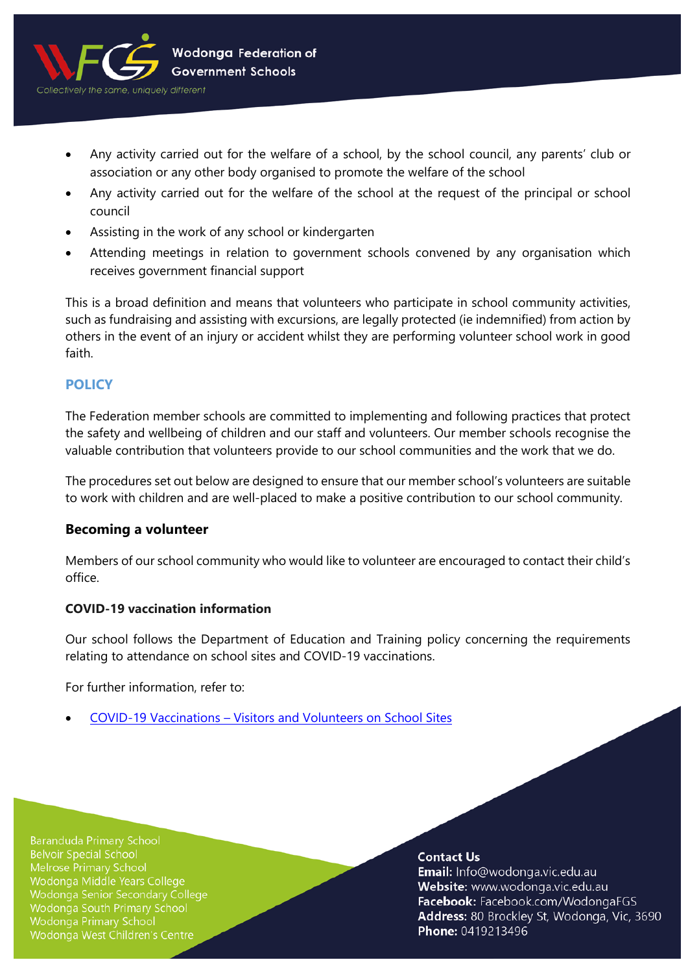

- Any activity carried out for the welfare of a school, by the school council, any parents' club or association or any other body organised to promote the welfare of the school
- Any activity carried out for the welfare of the school at the request of the principal or school council
- Assisting in the work of any school or kindergarten
- Attending meetings in relation to government schools convened by any organisation which receives government financial support

This is a broad definition and means that volunteers who participate in school community activities, such as fundraising and assisting with excursions, are legally protected (ie indemnified) from action by others in the event of an injury or accident whilst they are performing volunteer school work in good faith.

# **POLICY**

The Federation member schools are committed to implementing and following practices that protect the safety and wellbeing of children and our staff and volunteers. Our member schools recognise the valuable contribution that volunteers provide to our school communities and the work that we do.

The procedures set out below are designed to ensure that our member school's volunteers are suitable to work with children and are well-placed to make a positive contribution to our school community.

# **Becoming a volunteer**

Members of our school community who would like to volunteer are encouraged to contact their child's office.

#### **COVID-19 vaccination information**

Our school follows the Department of Education and Training policy concerning the requirements relating to attendance on school sites and COVID-19 vaccinations.

For further information, refer to:

• COVID-19 Vaccinations – [Visitors and Volunteers on School Sites](https://www2.education.vic.gov.au/pal/covid-19-vaccinations-visitors-volunteers/policy)

**Baranduda Primary School Belvoir Special School** Melrose Primary School Wodonga Middle Years College Wodonga Senior Secondary College Wodonga South Primary School **Wodonga Primary School** Wodonga West Children's Centre

#### **Contact Us**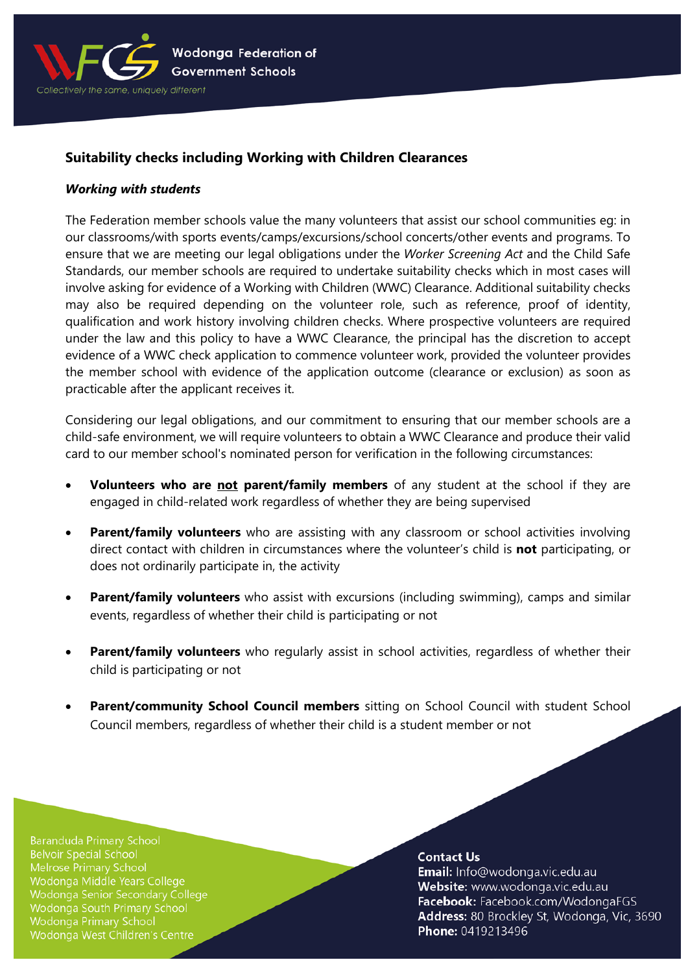

# **Suitability checks including Working with Children Clearances**

#### *Working with students*

The Federation member schools value the many volunteers that assist our school communities eg: in our classrooms/with sports events/camps/excursions/school concerts/other events and programs. To ensure that we are meeting our legal obligations under the *Worker Screening Act* and the Child Safe Standards, our member schools are required to undertake suitability checks which in most cases will involve asking for evidence of a Working with Children (WWC) Clearance. Additional suitability checks may also be required depending on the volunteer role, such as reference, proof of identity, qualification and work history involving children checks. Where prospective volunteers are required under the law and this policy to have a WWC Clearance, the principal has the discretion to accept evidence of a WWC check application to commence volunteer work, provided the volunteer provides the member school with evidence of the application outcome (clearance or exclusion) as soon as practicable after the applicant receives it.

Considering our legal obligations, and our commitment to ensuring that our member schools are a child-safe environment, we will require volunteers to obtain a WWC Clearance and produce their valid card to our member school's nominated person for verification in the following circumstances:

- **Volunteers who are not parent/family members** of any student at the school if they are engaged in child-related work regardless of whether they are being supervised
- **Parent/family volunteers** who are assisting with any classroom or school activities involving direct contact with children in circumstances where the volunteer's child is **not** participating, or does not ordinarily participate in, the activity
- **Parent/family volunteers** who assist with excursions (including swimming), camps and similar events, regardless of whether their child is participating or not
- **Parent/family volunteers** who regularly assist in school activities, regardless of whether their child is participating or not
- Parent/community School Council members sitting on School Council with student School Council members, regardless of whether their child is a student member or not

**Baranduda Primary School Belvoir Special School** Wodonga Middle Years College Wodonga Senior Secondary College Wodonga South Primary School **Wodonga Primary School** Wodonga West Children's Centre

#### **Contact Us**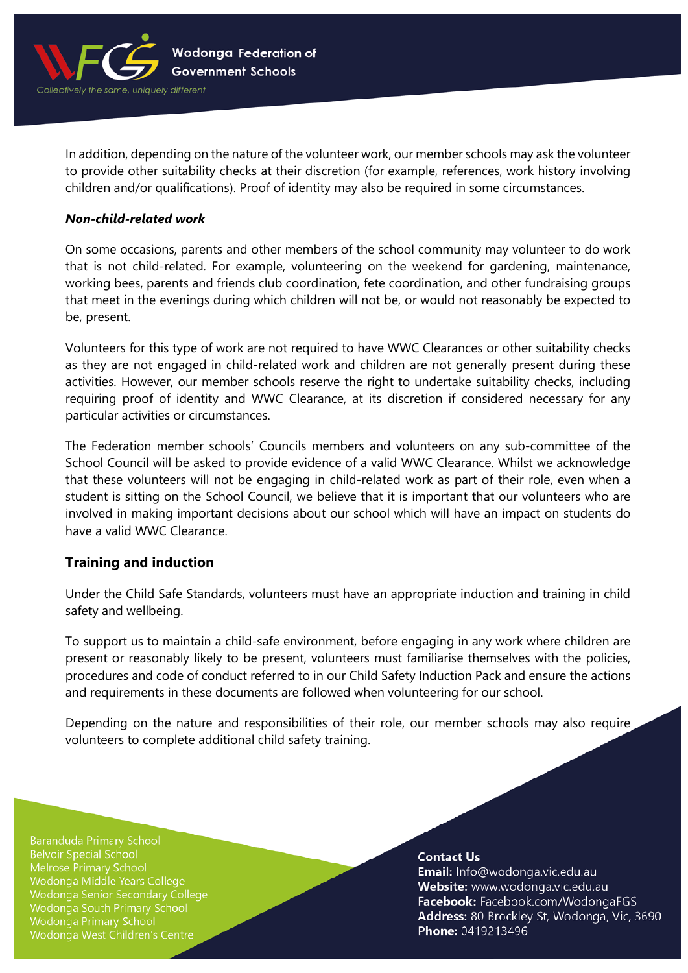

In addition, depending on the nature of the volunteer work, our member schools may ask the volunteer to provide other suitability checks at their discretion (for example, references, work history involving children and/or qualifications). Proof of identity may also be required in some circumstances.

#### *Non-child-related work*

On some occasions, parents and other members of the school community may volunteer to do work that is not child-related. For example, volunteering on the weekend for gardening, maintenance, working bees, parents and friends club coordination, fete coordination, and other fundraising groups that meet in the evenings during which children will not be, or would not reasonably be expected to be, present.

Volunteers for this type of work are not required to have WWC Clearances or other suitability checks as they are not engaged in child-related work and children are not generally present during these activities. However, our member schools reserve the right to undertake suitability checks, including requiring proof of identity and WWC Clearance, at its discretion if considered necessary for any particular activities or circumstances.

The Federation member schools' Councils members and volunteers on any sub-committee of the School Council will be asked to provide evidence of a valid WWC Clearance. Whilst we acknowledge that these volunteers will not be engaging in child-related work as part of their role, even when a student is sitting on the School Council, we believe that it is important that our volunteers who are involved in making important decisions about our school which will have an impact on students do have a valid WWC Clearance.

# **Training and induction**

Under the Child Safe Standards, volunteers must have an appropriate induction and training in child safety and wellbeing.

To support us to maintain a child-safe environment, before engaging in any work where children are present or reasonably likely to be present, volunteers must familiarise themselves with the policies, procedures and code of conduct referred to in our Child Safety Induction Pack and ensure the actions and requirements in these documents are followed when volunteering for our school.

Depending on the nature and responsibilities of their role, our member schools may also require volunteers to complete additional child safety training.

**Baranduda Primary School Belvoir Special School** Melrose Primary School Wodonga Middle Years College Wodonga Senior Secondary College Wodonga South Primary School **Wodonga Primary School** Wodonga West Children's Centre

#### **Contact Us**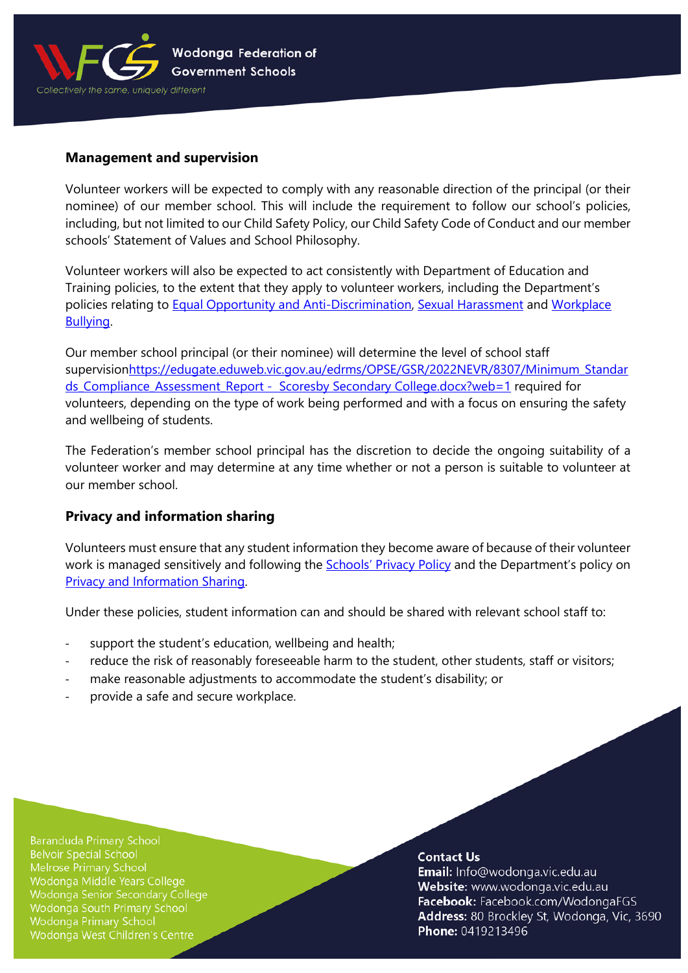

#### **Management and supervision**

Volunteer workers will be expected to comply with any reasonable direction of the principal (or their nominee) of our member school. This will include the requirement to follow our school's policies, including, but not limited to our Child Safety Policy, our Child Safety Code of Conduct and our member schools' Statement of Values and School Philosophy.

Volunteer workers will also be expected to act consistently with Department of Education and Training policies, to the extent that they apply to volunteer workers, including the Department's policies relating to [Equal Opportunity and Anti-Discrimination,](https://www2.education.vic.gov.au/pal/equal-opportunity/policy-and-guidelines) [Sexual Harassment](https://www2.education.vic.gov.au/pal/sexual-harassment/overview) and [Workplace](https://www2.education.vic.gov.au/pal/workplace-bullying/policy)  [Bullying.](https://www2.education.vic.gov.au/pal/workplace-bullying/policy)

Our member school principal (or their nominee) will determine the level of school staff supervisionhttps://edugate.eduweb.vic.gov.au/edrms/OPSE/GSR/2022NEVR/8307/Minimum Standar ds Compliance Assessment Report - Scoresby Secondary College.docx?web=1 required for volunteers, depending on the type of work being performed and with a focus on ensuring the safety and wellbeing of students.

The Federation's member school principal has the discretion to decide the ongoing suitability of a volunteer worker and may determine at any time whether or not a person is suitable to volunteer at our member school.

## **Privacy and information sharing**

Volunteers must ensure that any student information they become aware of because of their volunteer work is managed sensitively and following the **Schools' [Privacy Policy](https://www.education.vic.gov.au/Pages/schoolsprivacypolicy.aspx)** and the Department's policy on [Privacy and Information Sharing.](https://www2.education.vic.gov.au/pal/privacy-information-sharing/policy)

Under these policies, student information can and should be shared with relevant school staff to:

- support the student's education, wellbeing and health;
- reduce the risk of reasonably foreseeable harm to the student, other students, staff or visitors;
- make reasonable adjustments to accommodate the student's disability; or
- provide a safe and secure workplace.

**Baranduda Primary School Belvoir Special School** Wodonga Middle Years College Wodonga Senior Secondary College Wodonga South Primary School **Wodonga Primary School** Wodonga West Children's Centre

#### **Contact Us**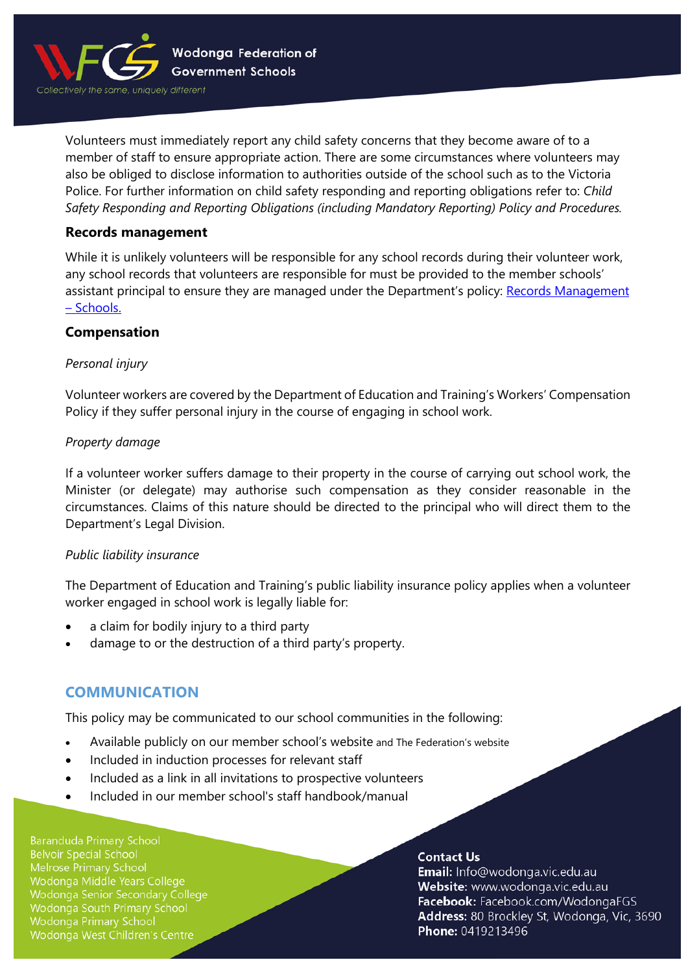

Volunteers must immediately report any child safety concerns that they become aware of to a member of staff to ensure appropriate action. There are some circumstances where volunteers may also be obliged to disclose information to authorities outside of the school such as to the Victoria Police. For further information on child safety responding and reporting obligations refer to: *Child Safety Responding and Reporting Obligations (including Mandatory Reporting) Policy and Procedures.* 

## **Records management**

While it is unlikely volunteers will be responsible for any school records during their volunteer work, any school records that volunteers are responsible for must be provided to the member schools' assistant principal to ensure they are managed under the Department's policy: Records Management – [Schools.](https://www2.education.vic.gov.au/pal/records-management/policy)

## **Compensation**

## *Personal injury*

Volunteer workers are covered by the Department of Education and Training's Workers' Compensation Policy if they suffer personal injury in the course of engaging in school work.

#### *Property damage*

If a volunteer worker suffers damage to their property in the course of carrying out school work, the Minister (or delegate) may authorise such compensation as they consider reasonable in the circumstances. Claims of this nature should be directed to the principal who will direct them to the Department's Legal Division.

#### *Public liability insurance*

The Department of Education and Training's public liability insurance policy applies when a volunteer worker engaged in school work is legally liable for:

- a claim for bodily injury to a third party
- damage to or the destruction of a third party's property.

# **COMMUNICATION**

This policy may be communicated to our school communities in the following:

- Available publicly on our member school's website and The Federation's website
- Included in induction processes for relevant staff
- Included as a link in all invitations to prospective volunteers
- Included in our member school's staff handbook/manual

**Baranduda Primary School Belvoir Special School** Wodonga Middle Years College Wodonga Senior Secondary College Wodonga South Primary School **Wodonga Primary School** Wodonga West Children's Centre

#### **Contact Us**